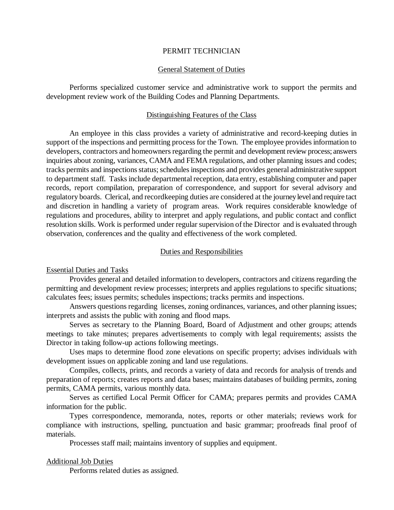## PERMIT TECHNICIAN

#### General Statement of Duties

Performs specialized customer service and administrative work to support the permits and development review work of the Building Codes and Planning Departments.

### Distinguishing Features of the Class

An employee in this class provides a variety of administrative and record-keeping duties in support of the inspections and permitting process for the Town. The employee provides information to developers, contractors and homeowners regarding the permit and development review process; answers inquiries about zoning, variances, CAMA and FEMA regulations, and other planning issues and codes; tracks permits and inspections status; schedules inspections and provides general administrative support to department staff. Tasks include departmental reception, data entry, establishing computer and paper records, report compilation, preparation of correspondence, and support for several advisory and regulatory boards. Clerical, and recordkeeping duties are considered at the journey level and require tact and discretion in handling a variety of program areas. Work requires considerable knowledge of regulations and procedures, ability to interpret and apply regulations, and public contact and conflict resolution skills. Work is performed under regular supervision of the Director and is evaluated through observation, conferences and the quality and effectiveness of the work completed.

## Duties and Responsibilities

### Essential Duties and Tasks

Provides general and detailed information to developers, contractors and citizens regarding the permitting and development review processes; interprets and applies regulations to specific situations; calculates fees; issues permits; schedules inspections; tracks permits and inspections.

Answers questions regarding licenses, zoning ordinances, variances, and other planning issues; interprets and assists the public with zoning and flood maps.

Serves as secretary to the Planning Board, Board of Adjustment and other groups; attends meetings to take minutes; prepares advertisements to comply with legal requirements; assists the Director in taking follow-up actions following meetings.

Uses maps to determine flood zone elevations on specific property; advises individuals with development issues on applicable zoning and land use regulations.

Compiles, collects, prints, and records a variety of data and records for analysis of trends and preparation of reports; creates reports and data bases; maintains databases of building permits, zoning permits, CAMA permits, various monthly data.

Serves as certified Local Permit Officer for CAMA; prepares permits and provides CAMA information for the public.

Types correspondence, memoranda, notes, reports or other materials; reviews work for compliance with instructions, spelling, punctuation and basic grammar; proofreads final proof of materials.

Processes staff mail; maintains inventory of supplies and equipment.

### Additional Job Duties

Performs related duties as assigned.